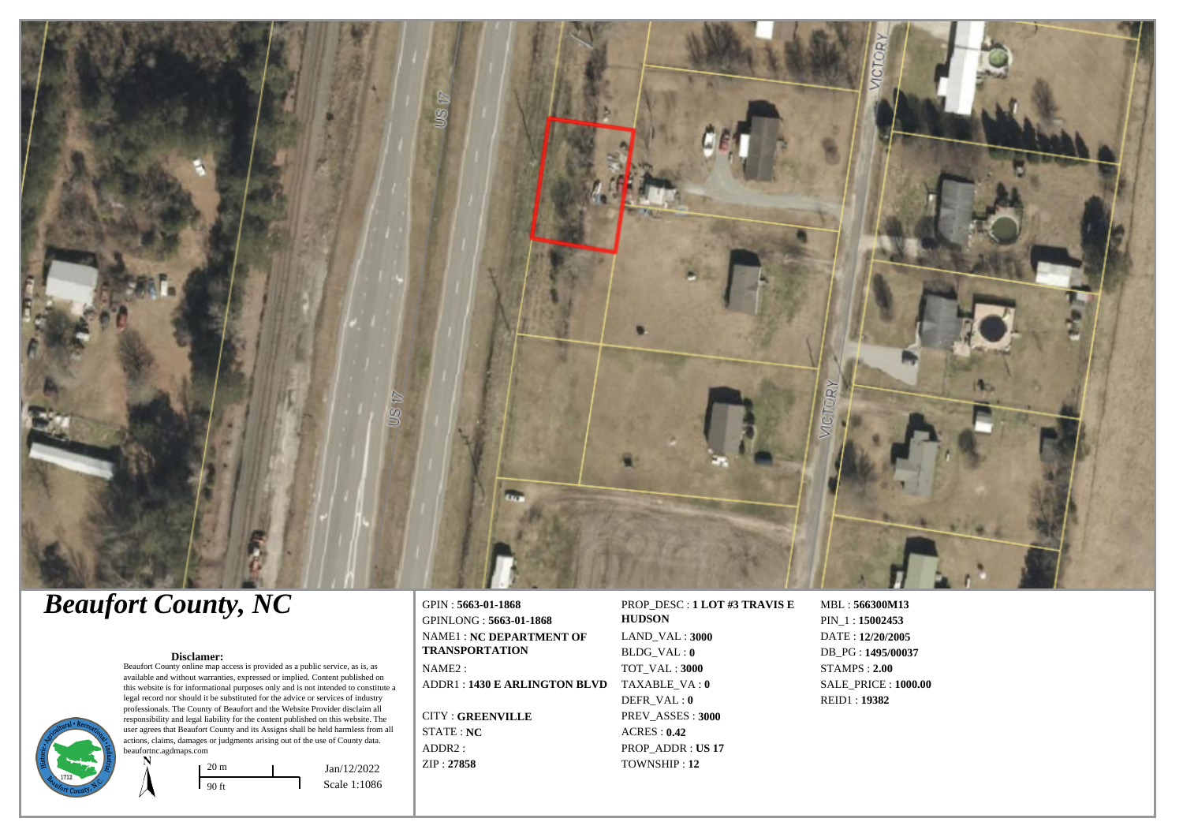

# *Beaufort County, NC*

#### **Disclamer:**

Beaufort County online map access is provided as a public service, as is, as available and without warranties, expressed or implied. Content published on this website is for informational purposes only and is not intended to constitute a legal record nor should it be substituted for the advice or services of industry professionals. The County of Beaufort and the Website Provider disclaim all responsibility and legal liability for the content published on this website. The user agrees that Beaufort County and its Assigns shall be held harmless from all actions, claims, damages or judgments arising out of the use of County data. beaufortnc.agdmaps.com



GPIN : **5663-01-1868** GPINLONG : **5663-01-1868** NAME1 : **NC DEPARTMENT OF TRANSPORTATION** NAME2 : ADDR1 : **1430 E ARLINGTON BLVD** TAXABLE\_VA : **0**

CITY : **GREENVILLE** STATE : **NC** ADDR2 : ZIP : **27858**

#### PROP\_DESC : **1 LOT #3 TRAVIS E HUDSON** LAND\_VAL : **3000**

BLDG\_VAL : **0** TOT\_VAL : **3000** DEFR\_VAL : **0** PREV\_ASSES : **3000** ACRES : **0.42** PROP\_ADDR : **US 17** TOWNSHIP : **12**

MBL : **566300M13** PIN\_1 : **15002453** DATE : **12/20/2005** DB\_PG : **1495/00037** STAMPS : **2.00** SALE\_PRICE : **1000.00** REID1 : **19382**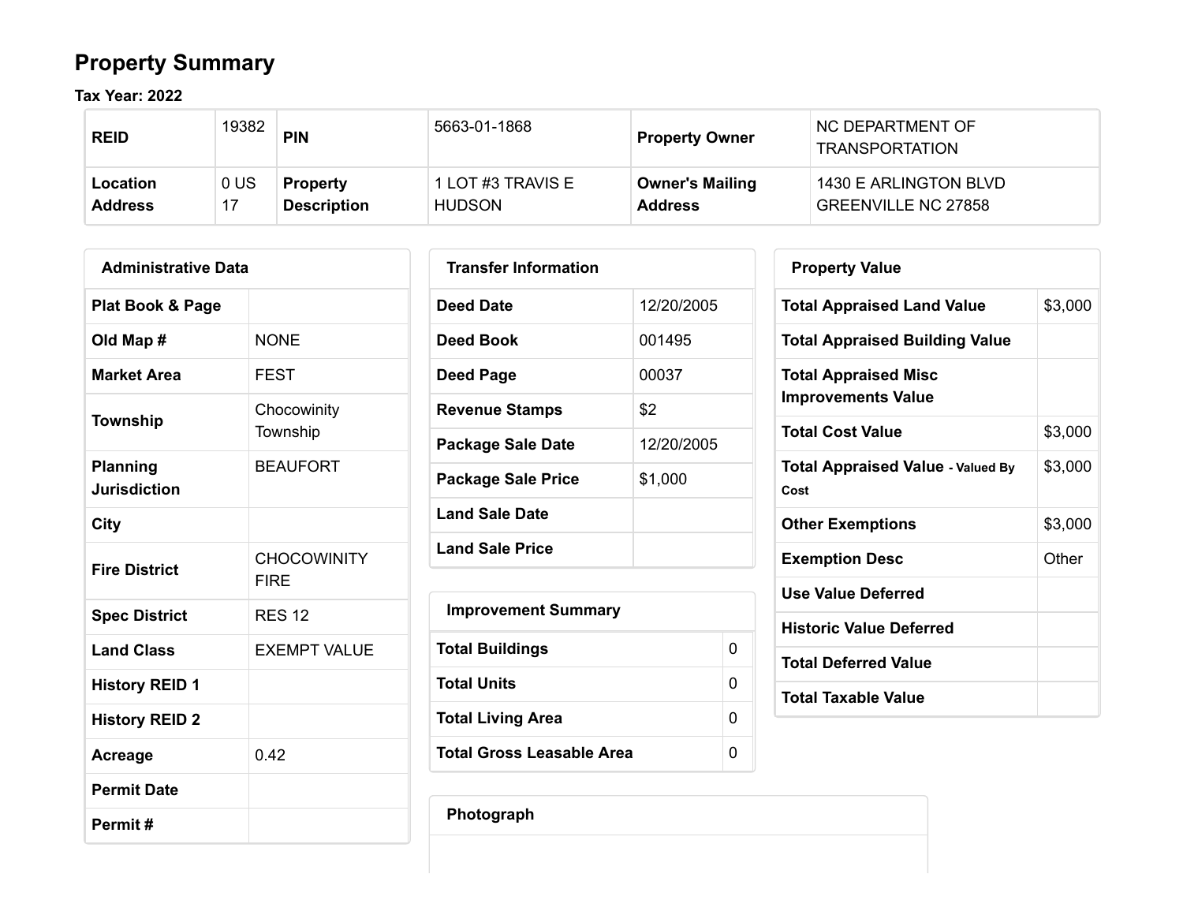## **Property Summary**

**Tax Year: 2022**

| <b>REID</b>    | 19382          | <b>PIN</b>         | 5663-01-1868      | <b>Property Owner</b>  | NC DEPARTMENT OF<br><b>TRANSPORTATION</b> |
|----------------|----------------|--------------------|-------------------|------------------------|-------------------------------------------|
| Location       | 0 <sup>U</sup> | <b>Property</b>    | 1 LOT #3 TRAVIS E | <b>Owner's Mailing</b> | 1430 E ARLINGTON BLVD                     |
| <b>Address</b> |                | <b>Description</b> | <b>HUDSON</b>     | <b>Address</b>         | <b>GREENVILLE NC 27858</b>                |

| <b>Administrative Data</b>      |                                   |  |  |  |  |  |
|---------------------------------|-----------------------------------|--|--|--|--|--|
| <b>Plat Book &amp; Page</b>     |                                   |  |  |  |  |  |
| Old Map #                       | <b>NONE</b>                       |  |  |  |  |  |
| <b>Market Area</b>              | <b>FEST</b>                       |  |  |  |  |  |
| <b>Township</b>                 | Chocowinity<br>Township           |  |  |  |  |  |
| Planning<br><b>Jurisdiction</b> | <b>BEAUFORT</b>                   |  |  |  |  |  |
| City                            |                                   |  |  |  |  |  |
| <b>Fire District</b>            | <b>CHOCOWINITY</b><br><b>FIRF</b> |  |  |  |  |  |
| <b>Spec District</b>            | <b>RES 12</b>                     |  |  |  |  |  |
| <b>Land Class</b>               | <b>EXEMPT VALUE</b>               |  |  |  |  |  |
| <b>History REID 1</b>           |                                   |  |  |  |  |  |
| <b>History REID 2</b>           |                                   |  |  |  |  |  |
| Acreage                         | 0.42                              |  |  |  |  |  |
| <b>Permit Date</b>              |                                   |  |  |  |  |  |
| Permit#                         |                                   |  |  |  |  |  |

| <b>Transfer Information</b> |            |
|-----------------------------|------------|
| Deed Date                   | 12/20/2005 |
| Deed Book                   | 001495     |
| Deed Page                   | 00037      |
| <b>Revenue Stamps</b>       | \$2        |
| <b>Package Sale Date</b>    | 12/20/2005 |
| Package Sale Price          | \$1,000    |
| <b>Land Sale Date</b>       |            |
| <b>Land Sale Price</b>      |            |

| <b>Improvement Summary</b> |   |
|----------------------------|---|
| <b>Total Buildings</b>     | 0 |
| Total Units                | 0 |
| <b>Total Living Area</b>   | 0 |
| Total Gross Leasable Area  | O |

| <b>Property Value</b>                                    |         |
|----------------------------------------------------------|---------|
| <b>Total Appraised Land Value</b>                        | \$3,000 |
| <b>Total Appraised Building Value</b>                    |         |
| <b>Total Appraised Misc</b><br><b>Improvements Value</b> |         |
| <b>Total Cost Value</b>                                  | \$3,000 |
| <b>Total Appraised Value - Valued By</b><br>Cost         | \$3,000 |
| <b>Other Exemptions</b>                                  | \$3,000 |
| <b>Exemption Desc</b>                                    | Other   |
| <b>Use Value Deferred</b>                                |         |
| <b>Historic Value Deferred</b>                           |         |
| <b>Total Deferred Value</b>                              |         |
| <b>Total Taxable Value</b>                               |         |

**Photograph**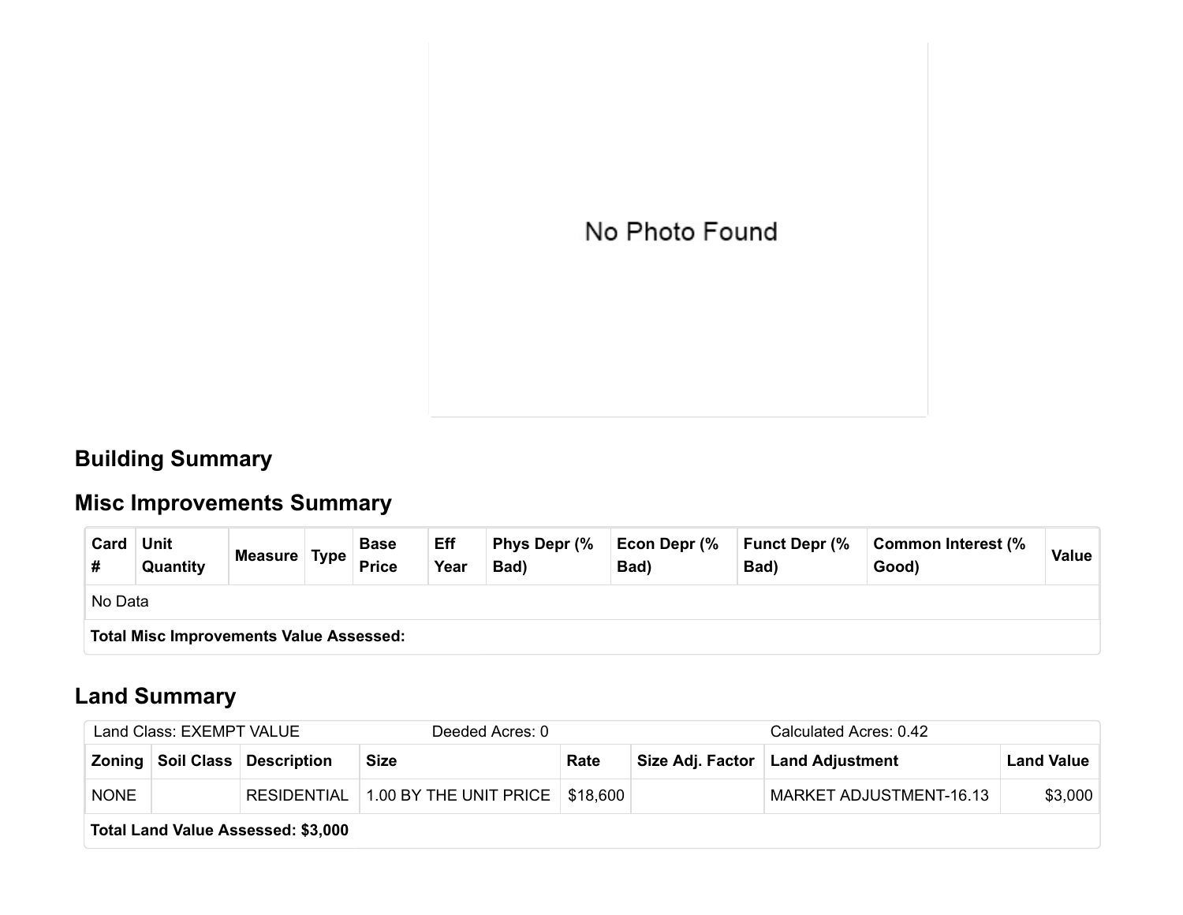

### **Building Summary**

## **Misc Improvements Summary**

| Card                                           | <b>Unit</b><br>Quantity | Measure Type |  | <b>Base</b><br><b>Price</b> | Eff<br>Year | Phys Depr (%<br>Bad) | Econ Depr (%<br>Bad) | <b>Funct Depr (%</b><br>Bad) | Common Interest (%<br>Good) | Value |
|------------------------------------------------|-------------------------|--------------|--|-----------------------------|-------------|----------------------|----------------------|------------------------------|-----------------------------|-------|
|                                                | No Data                 |              |  |                             |             |                      |                      |                              |                             |       |
| <b>Total Misc Improvements Value Assessed:</b> |                         |              |  |                             |             |                      |                      |                              |                             |       |

### **Land Summary**

| Land Class: EXEMPT VALUE |                                    |                                   | Deeded Acres: 0                               |      |  | Calculated Acres: 0.42             |                   |  |  |  |
|--------------------------|------------------------------------|-----------------------------------|-----------------------------------------------|------|--|------------------------------------|-------------------|--|--|--|
|                          |                                    | Zoning   Soil Class   Description | <b>Size</b>                                   | Rate |  | Size Adj. Factor   Land Adjustment | <b>Land Value</b> |  |  |  |
| <b>NONE</b>              |                                    |                                   | RESIDENTIAL 1.00 BY THE UNIT PRICE   \$18,600 |      |  | MARKET ADJUSTMENT-16.13            | \$3,000           |  |  |  |
|                          | Total Land Value Assessed: \$3,000 |                                   |                                               |      |  |                                    |                   |  |  |  |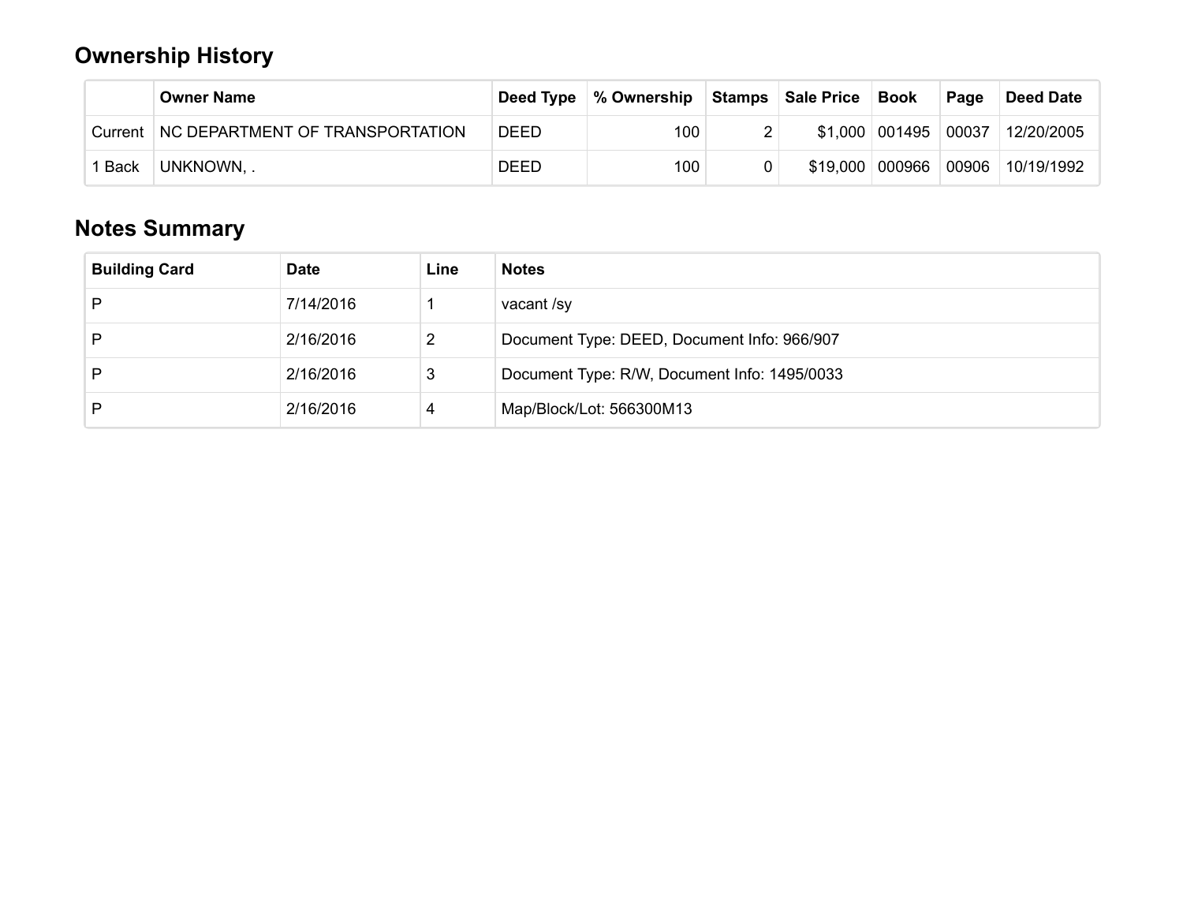### **Ownership History**

|         | <b>Owner Name</b>               |             | Deed Type   % Ownership | Stamps   Sale Price   Book |                   | Page | Deed Date                       |
|---------|---------------------------------|-------------|-------------------------|----------------------------|-------------------|------|---------------------------------|
| Current | NC DEPARTMENT OF TRANSPORTATION | <b>DEED</b> | 100                     |                            |                   |      | \$1,000 001495 00037 12/20/2005 |
| Back    | UNKNOWN, .                      | <b>DEED</b> | 100                     |                            | \$19,000   000966 |      | 00906 10/19/1992                |

### **Notes Summary**

| <b>Building Card</b> | <b>Date</b> | Line | <b>Notes</b>                                 |
|----------------------|-------------|------|----------------------------------------------|
| D                    | 7/14/2016   |      | vacant /sy                                   |
| D                    | 2/16/2016   | 2    | Document Type: DEED, Document Info: 966/907  |
| D                    | 2/16/2016   | 3    | Document Type: R/W, Document Info: 1495/0033 |
| D                    | 2/16/2016   | 4    | Map/Block/Lot: 566300M13                     |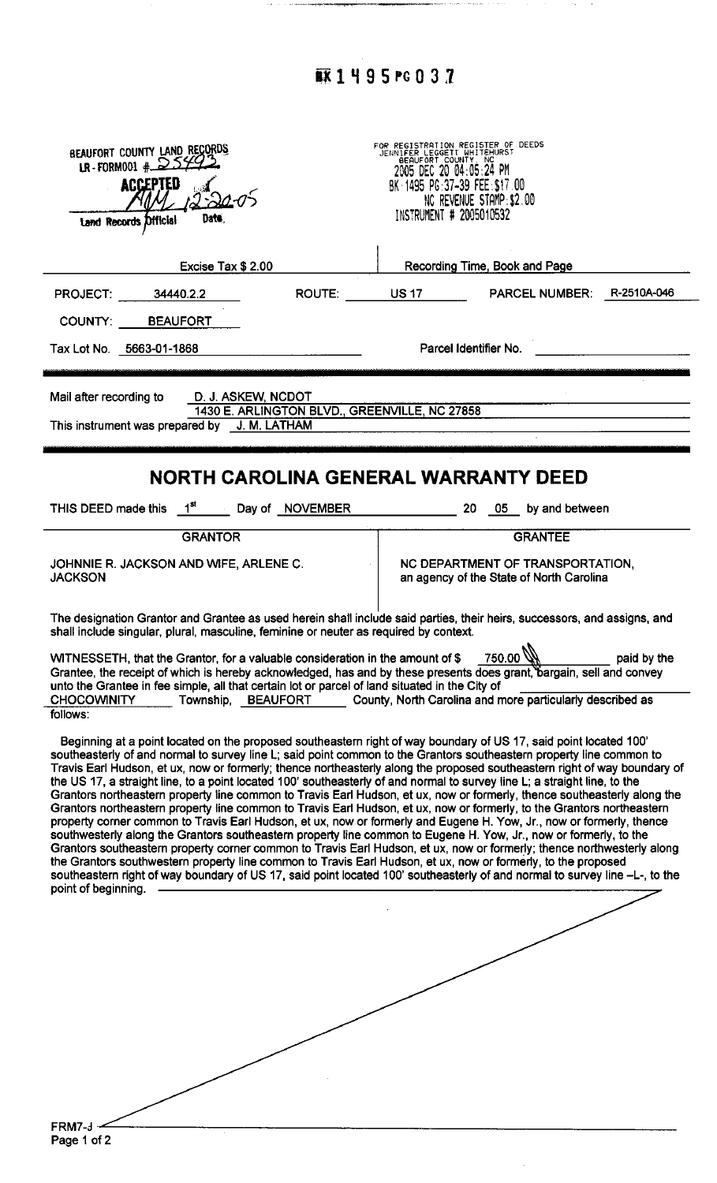## **蘇1495PG032**

 $\sim 250-20$ 

ò,

| BEAUFORT COUNTY LAND RECORDS                                                                                                                                                                                                                       |           |                                                                                                                     |                                                           |             |  |
|----------------------------------------------------------------------------------------------------------------------------------------------------------------------------------------------------------------------------------------------------|-----------|---------------------------------------------------------------------------------------------------------------------|-----------------------------------------------------------|-------------|--|
| LR-FORM001 # $2549$                                                                                                                                                                                                                                |           | FOR REGISTRATION REGISTER OF DEEDS<br>JENNIFER LEGGETT WHITEHURST<br>BEAUFORT COUNTY, NC<br>2005 DEC 20 04:05:24 PM |                                                           |             |  |
| <b>ACCEPTED</b>                                                                                                                                                                                                                                    |           | BK: 1495 PG: 37-39 FEE: \$17.00                                                                                     | NC REVENUE STAMP: \$2.00                                  |             |  |
| Date.<br>Land Records Official                                                                                                                                                                                                                     |           | INSTRUMENT # 2005010532                                                                                             |                                                           |             |  |
|                                                                                                                                                                                                                                                    |           |                                                                                                                     |                                                           |             |  |
| Excise Tax \$ 2.00                                                                                                                                                                                                                                 |           |                                                                                                                     | Recording Time, Book and Page                             |             |  |
| <b>PROJECT: 34440.2.2</b>                                                                                                                                                                                                                          | ROUTE: NO |                                                                                                                     | US 17 PARCEL NUMBER:                                      | R-2510A-046 |  |
| COUNTY: BEAUFORT                                                                                                                                                                                                                                   |           |                                                                                                                     |                                                           |             |  |
| Tax Lot No. 5663-01-1868                                                                                                                                                                                                                           |           |                                                                                                                     | Parcel Identifier No.                                     |             |  |
|                                                                                                                                                                                                                                                    |           |                                                                                                                     |                                                           |             |  |
| Mail after recording to<br>D. J. ASKEW, NCDOT                                                                                                                                                                                                      |           |                                                                                                                     |                                                           |             |  |
| This instrument was prepared by J. M. LATHAM                                                                                                                                                                                                       |           | 1430 E. ARLINGTON BLVD., GREENVILLE, NC 27858                                                                       |                                                           |             |  |
|                                                                                                                                                                                                                                                    |           |                                                                                                                     |                                                           |             |  |
|                                                                                                                                                                                                                                                    |           |                                                                                                                     |                                                           |             |  |
| <b>NORTH CAROLINA GENERAL WARRANTY DEED</b>                                                                                                                                                                                                        |           |                                                                                                                     |                                                           |             |  |
| THIS DEED made this $1^{st}$ Day of NOVEMBER 20 05 by and between                                                                                                                                                                                  |           |                                                                                                                     |                                                           |             |  |
| <b>GRANTOR</b>                                                                                                                                                                                                                                     |           |                                                                                                                     | <b>GRANTEE</b>                                            |             |  |
| JOHNNIE R. JACKSON AND WIFE, ARLENE C.                                                                                                                                                                                                             |           |                                                                                                                     | NC DEPARTMENT OF TRANSPORTATION,                          |             |  |
| <b>JACKSON</b>                                                                                                                                                                                                                                     |           | an agency of the State of North Carolina                                                                            |                                                           |             |  |
|                                                                                                                                                                                                                                                    |           |                                                                                                                     |                                                           |             |  |
| The designation Grantor and Grantee as used herein shall include said parties, their heirs, successors, and assigns, and<br>shall include singular, plural, masculine, feminine or neuter as required by context.                                  |           |                                                                                                                     |                                                           |             |  |
| WITNESSETH, that the Grantor, for a valuable consideration in the amount of \$                                                                                                                                                                     |           |                                                                                                                     | 750.00                                                    | paid by the |  |
| Grantee, the receipt of which is hereby acknowledged, has and by these presents does grant, bargain, sell and convey                                                                                                                               |           |                                                                                                                     |                                                           |             |  |
| unto the Grantee in fee simple, all that certain lot or parcel of land situated in the City of<br><b>CHOCOWINITY</b><br>Township, BEAUFORT                                                                                                         |           |                                                                                                                     | County, North Carolina and more particularly described as |             |  |
| follows:                                                                                                                                                                                                                                           |           |                                                                                                                     |                                                           |             |  |
| Beginning at a point located on the proposed southeastern right of way boundary of US 17, said point located 100'                                                                                                                                  |           |                                                                                                                     |                                                           |             |  |
| southeasterly of and normal to survey line L; said point common to the Grantors southeastern property line common to<br>Travis Earl Hudson, et ux, now or formerly; thence northeasterly along the proposed southeastern right of way boundary of  |           |                                                                                                                     |                                                           |             |  |
| the US 17, a straight line, to a point located 100' southeasterly of and normal to survey line L; a straight line, to the                                                                                                                          |           |                                                                                                                     |                                                           |             |  |
| Grantors northeastern property line common to Travis Earl Hudson, et ux, now or formerly, thence southeasterly along the<br>Grantors northeastern property line common to Travis Earl Hudson, et ux, now or formerly, to the Grantors northeastern |           |                                                                                                                     |                                                           |             |  |
| property corner common to Travis Earl Hudson, et ux, now or formerly and Eugene H. Yow, Jr., now or formerly, thence<br>southwesterly along the Grantors southeastern property line common to Eugene H. Yow, Jr., now or formerly, to the          |           |                                                                                                                     |                                                           |             |  |
| Grantors southeastern property corner common to Travis Earl Hudson, et ux, now or formerly; thence northwesterly along                                                                                                                             |           |                                                                                                                     |                                                           |             |  |
| the Grantors southwestern property line common to Travis Earl Hudson, et ux, now or formerly, to the proposed<br>southeastern right of way boundary of US 17, said point located 100' southeasterly of and normal to survey line -L-, to the       |           |                                                                                                                     |                                                           |             |  |
| point of beginning.                                                                                                                                                                                                                                |           |                                                                                                                     |                                                           |             |  |
|                                                                                                                                                                                                                                                    |           |                                                                                                                     |                                                           |             |  |
|                                                                                                                                                                                                                                                    |           |                                                                                                                     |                                                           |             |  |
|                                                                                                                                                                                                                                                    |           |                                                                                                                     |                                                           |             |  |
|                                                                                                                                                                                                                                                    |           |                                                                                                                     |                                                           |             |  |
|                                                                                                                                                                                                                                                    |           |                                                                                                                     |                                                           |             |  |
|                                                                                                                                                                                                                                                    |           |                                                                                                                     |                                                           |             |  |
|                                                                                                                                                                                                                                                    |           |                                                                                                                     |                                                           |             |  |
|                                                                                                                                                                                                                                                    |           |                                                                                                                     |                                                           |             |  |
|                                                                                                                                                                                                                                                    |           |                                                                                                                     |                                                           |             |  |
| FRM7-J                                                                                                                                                                                                                                             |           |                                                                                                                     |                                                           |             |  |
| Page 1 of 2                                                                                                                                                                                                                                        |           |                                                                                                                     |                                                           |             |  |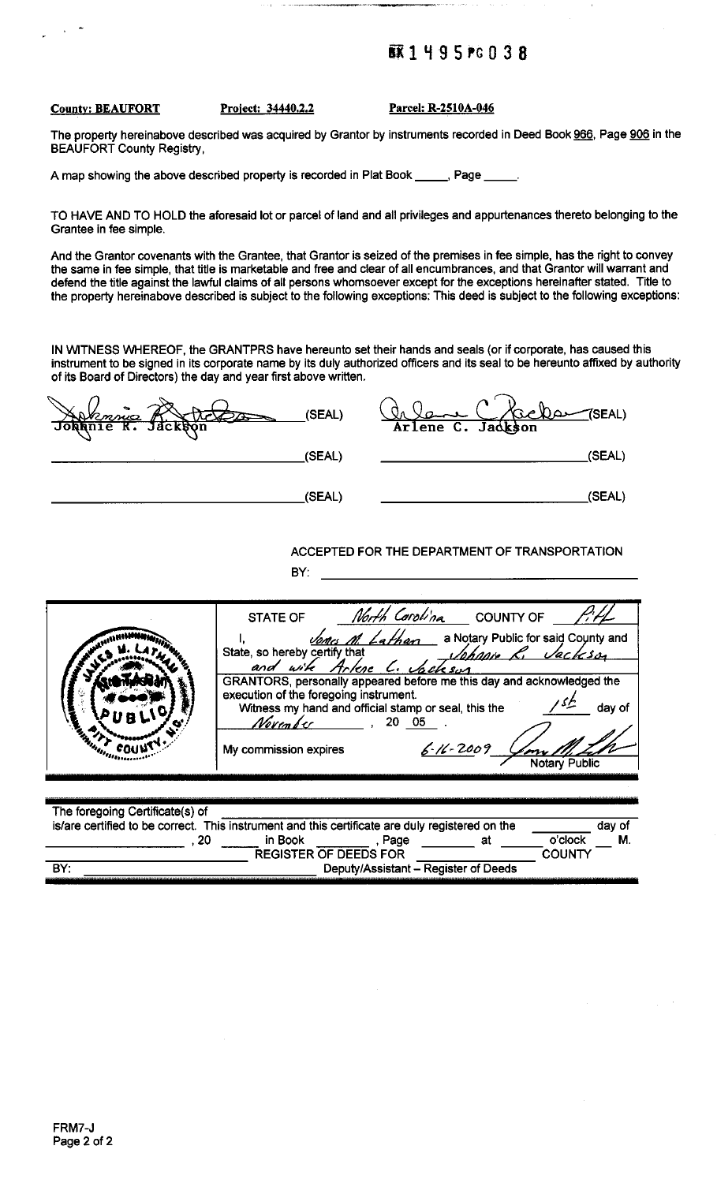#### **蘇1495#0038**

#### **County: BEAUFORT**

Project: 34440.2.2

Parcel: R-2510A-046

The property hereinabove described was acquired by Grantor by instruments recorded in Deed Book 966, Page 906 in the **BEAUFORT County Registry,** 

A map showing the above described property is recorded in Plat Book \_\_\_\_ \_, Page \_

TO HAVE AND TO HOLD the aforesaid lot or parcel of land and all privileges and appurtenances thereto belonging to the Grantee in fee simple.

And the Grantor covenants with the Grantee, that Grantor is seized of the premises in fee simple, has the right to convey the same in fee simple, that title is marketable and free and clear of all encumbrances, and that Grantor will warrant and defend the title against the lawful claims of all persons whomsoever except for the exceptions hereinafter stated. Title to the property hereinabove described is subject to the following exceptions: This deed is subject to the following exceptions:

IN WITNESS WHEREOF, the GRANTPRS have hereunto set their hands and seals (or if corporate, has caused this instrument to be signed in its corporate name by its duly authorized officers and its seal to be hereunto affixed by authority of its Board of Directors) the day and year first above written.

| (SEAL)<br>Johnnie R. Jackson | $\bigwedge$ SEAL)<br><u>achan</u><br>Arlene C. Jackson |
|------------------------------|--------------------------------------------------------|
| (SEAL)                       | (SEAL)                                                 |
| (SEAL)                       | (SEAL)                                                 |

#### ACCEPTED FOR THE DEPARTMENT OF TRANSPORTATION BY:  $\qquad \qquad$

**COUNTY** 

|                                                                                                                                          | <b>STATE OF</b><br>State, so hereby certify that<br>GRANTORS, personally appeared before me this day and acknowledged the<br>execution of the foregoing instrument.<br>Witness my hand and official stamp or seal, this the<br>Novem b e c<br>My commission expires | <i>North Carolina</i> COUNTY OF<br>nes M. Lathan a Notary Public for said County and<br>e, so hereby certify that the subhanist Research of the formulation of the substitution of the substitution of<br>and with Artese C. Vackson<br>20 05 | $6 - 16 - 2009$ | Vackso<br>dav of<br><b>Notary Public</b> |
|------------------------------------------------------------------------------------------------------------------------------------------|---------------------------------------------------------------------------------------------------------------------------------------------------------------------------------------------------------------------------------------------------------------------|-----------------------------------------------------------------------------------------------------------------------------------------------------------------------------------------------------------------------------------------------|-----------------|------------------------------------------|
| The foregoing Certificate(s) of<br>is/are certified to be correct. This instrument and this certificate are duly registered on the<br>20 | in Book                                                                                                                                                                                                                                                             | , Page                                                                                                                                                                                                                                        | at              | day of<br>Μ.<br>o'clock                  |

**REGISTER OF DEEDS FOR** 

Deputy/Assistant - Register of Deeds

BY: